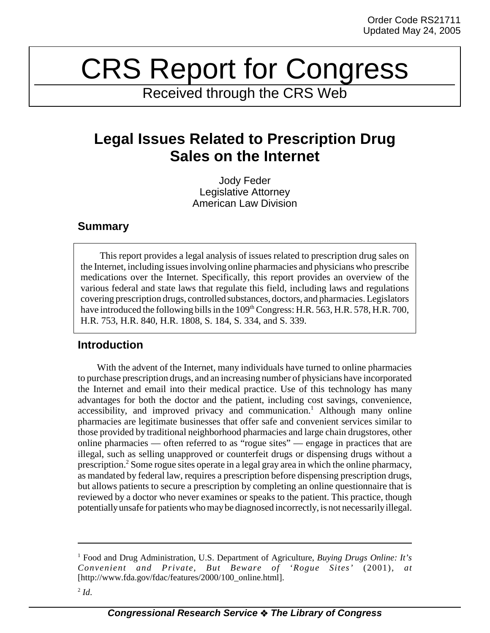# CRS Report for Congress

Received through the CRS Web

# **Legal Issues Related to Prescription Drug Sales on the Internet**

Jody Feder Legislative Attorney American Law Division

## **Summary**

This report provides a legal analysis of issues related to prescription drug sales on the Internet, including issues involving online pharmacies and physicians who prescribe medications over the Internet. Specifically, this report provides an overview of the various federal and state laws that regulate this field, including laws and regulations covering prescription drugs, controlled substances, doctors, and pharmacies. Legislators have introduced the following bills in the 109<sup>th</sup> Congress: H.R. 563, H.R. 578, H.R. 700, H.R. 753, H.R. 840, H.R. 1808, S. 184, S. 334, and S. 339.

## **Introduction**

With the advent of the Internet, many individuals have turned to online pharmacies to purchase prescription drugs, and an increasing number of physicians have incorporated the Internet and email into their medical practice. Use of this technology has many advantages for both the doctor and the patient, including cost savings, convenience, accessibility, and improved privacy and communication.<sup>1</sup> Although many online pharmacies are legitimate businesses that offer safe and convenient services similar to those provided by traditional neighborhood pharmacies and large chain drugstores, other online pharmacies — often referred to as "rogue sites" — engage in practices that are illegal, such as selling unapproved or counterfeit drugs or dispensing drugs without a prescription.<sup>2</sup> Some rogue sites operate in a legal gray area in which the online pharmacy, as mandated by federal law, requires a prescription before dispensing prescription drugs, but allows patients to secure a prescription by completing an online questionnaire that is reviewed by a doctor who never examines or speaks to the patient. This practice, though potentially unsafe for patients who may be diagnosed incorrectly, is not necessarily illegal.

<sup>&</sup>lt;sup>1</sup> Food and Drug Administration, U.S. Department of Agriculture, Buying Drugs Online: It's *Convenient and Private, But Beware of 'Rogue Sites'* (2001), *at* [http://www.fda.gov/fdac/features/2000/100\_online.html].

 $^{2}$  *Id.*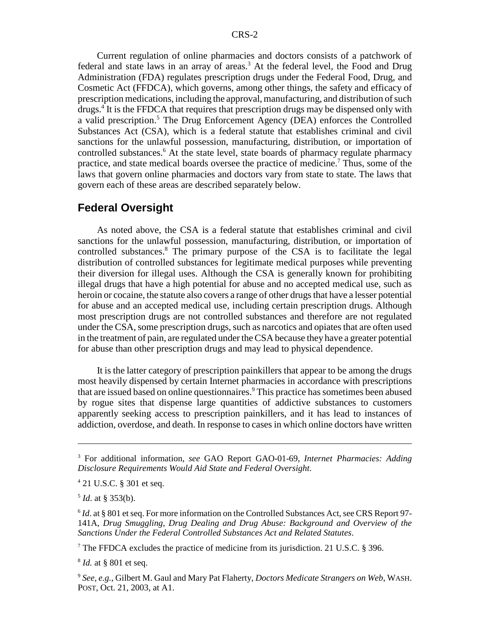Current regulation of online pharmacies and doctors consists of a patchwork of federal and state laws in an array of areas.<sup>3</sup> At the federal level, the Food and Drug Administration (FDA) regulates prescription drugs under the Federal Food, Drug, and Cosmetic Act (FFDCA), which governs, among other things, the safety and efficacy of prescription medications, including the approval, manufacturing, and distribution of such drugs.<sup>4</sup> It is the FFDCA that requires that prescription drugs may be dispensed only with a valid prescription.<sup>5</sup> The Drug Enforcement Agency (DEA) enforces the Controlled Substances Act (CSA), which is a federal statute that establishes criminal and civil sanctions for the unlawful possession, manufacturing, distribution, or importation of controlled substances.<sup>6</sup> At the state level, state boards of pharmacy regulate pharmacy practice, and state medical boards oversee the practice of medicine.<sup>7</sup> Thus, some of the laws that govern online pharmacies and doctors vary from state to state. The laws that govern each of these areas are described separately below.

#### **Federal Oversight**

As noted above, the CSA is a federal statute that establishes criminal and civil sanctions for the unlawful possession, manufacturing, distribution, or importation of controlled substances.<sup>8</sup> The primary purpose of the CSA is to facilitate the legal distribution of controlled substances for legitimate medical purposes while preventing their diversion for illegal uses. Although the CSA is generally known for prohibiting illegal drugs that have a high potential for abuse and no accepted medical use, such as heroin or cocaine, the statute also covers a range of other drugs that have a lesser potential for abuse and an accepted medical use, including certain prescription drugs. Although most prescription drugs are not controlled substances and therefore are not regulated under the CSA, some prescription drugs, such as narcotics and opiates that are often used in the treatment of pain, are regulated under the CSA because they have a greater potential for abuse than other prescription drugs and may lead to physical dependence.

It is the latter category of prescription painkillers that appear to be among the drugs most heavily dispensed by certain Internet pharmacies in accordance with prescriptions that are issued based on online questionnaires.<sup>9</sup> This practice has sometimes been abused by rogue sites that dispense large quantities of addictive substances to customers apparently seeking access to prescription painkillers, and it has lead to instances of addiction, overdose, and death. In response to cases in which online doctors have written

 $7$  The FFDCA excludes the practice of medicine from its jurisdiction. 21 U.S.C. § 396.

<sup>8</sup> *Id.* at § 801 et seq.

<sup>3</sup> For additional information, *see* GAO Report GAO-01-69, *Internet Pharmacies: Adding Disclosure Requirements Would Aid State and Federal Oversight*.

<sup>4</sup> 21 U.S.C. § 301 et seq.

<sup>5</sup> *Id*. at § 353(b).

<sup>&</sup>lt;sup>6</sup> *Id.* at § 801 et seq. For more information on the Controlled Substances Act, see CRS Report 97-141A, *Drug Smuggling, Drug Dealing and Drug Abuse: Background and Overview of the Sanctions Under the Federal Controlled Substances Act and Related Statutes*.

<sup>9</sup> *See, e.g.*, Gilbert M. Gaul and Mary Pat Flaherty, *Doctors Medicate Strangers on Web*, WASH. POST, Oct. 21, 2003, at A1.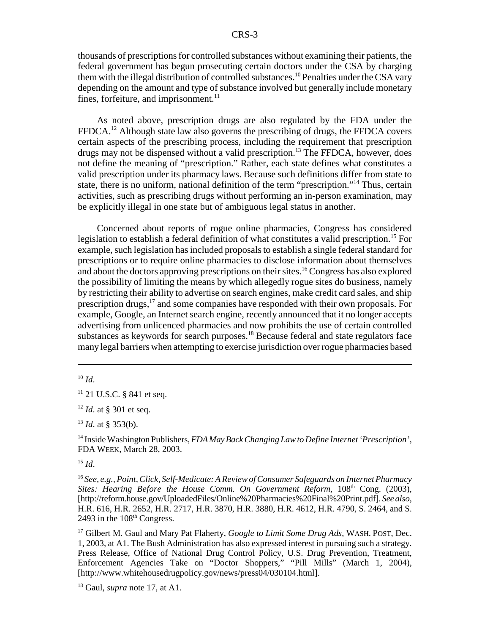thousands of prescriptions for controlled substances without examining their patients, the federal government has begun prosecuting certain doctors under the CSA by charging them with the illegal distribution of controlled substances.<sup>10</sup> Penalties under the CSA vary depending on the amount and type of substance involved but generally include monetary fines, forfeiture, and imprisonment. $11$ 

As noted above, prescription drugs are also regulated by the FDA under the FFDCA.<sup>12</sup> Although state law also governs the prescribing of drugs, the FFDCA covers certain aspects of the prescribing process, including the requirement that prescription drugs may not be dispensed without a valid prescription.<sup>13</sup> The FFDCA, however, does not define the meaning of "prescription." Rather, each state defines what constitutes a valid prescription under its pharmacy laws. Because such definitions differ from state to state, there is no uniform, national definition of the term "prescription."14 Thus, certain activities, such as prescribing drugs without performing an in-person examination, may be explicitly illegal in one state but of ambiguous legal status in another.

Concerned about reports of rogue online pharmacies, Congress has considered legislation to establish a federal definition of what constitutes a valid prescription.<sup>15</sup> For example, such legislation has included proposals to establish a single federal standard for prescriptions or to require online pharmacies to disclose information about themselves and about the doctors approving prescriptions on their sites.<sup>16</sup> Congress has also explored the possibility of limiting the means by which allegedly rogue sites do business, namely by restricting their ability to advertise on search engines, make credit card sales, and ship prescription drugs,<sup>17</sup> and some companies have responded with their own proposals. For example, Google, an Internet search engine, recently announced that it no longer accepts advertising from unlicenced pharmacies and now prohibits the use of certain controlled substances as keywords for search purposes.<sup>18</sup> Because federal and state regulators face many legal barriers when attempting to exercise jurisdiction over rogue pharmacies based

 $10 \,$ *Id.* 

<sup>12</sup> *Id*. at § 301 et seq.

<sup>13</sup> *Id*. at § 353(b).

14 Inside Washington Publishers, *FDA May Back Changing Law to Define Internet 'Prescription'*, FDA WEEK, March 28, 2003.

 $15$  *Id.* 

<sup>16</sup> *See, e.g., Point, Click, Self-Medicate: A Review of Consumer Safeguards on Internet Pharmacy Sites: Hearing Before the House Comm. On Government Reform, 108<sup>th</sup> Cong. (2003),* [http://reform.house.gov/UploadedFiles/Online%20Pharmacies%20Final%20Print.pdf]. *See also*, H.R. 616, H.R. 2652, H.R. 2717, H.R. 3870, H.R. 3880, H.R. 4612, H.R. 4790, S. 2464, and S. 2493 in the  $108<sup>th</sup>$  Congress.

<sup>17</sup> Gilbert M. Gaul and Mary Pat Flaherty, *Google to Limit Some Drug Ads*, WASH. POST, Dec. 1, 2003, at A1. The Bush Administration has also expressed interest in pursuing such a strategy. Press Release, Office of National Drug Control Policy, U.S. Drug Prevention, Treatment, Enforcement Agencies Take on "Doctor Shoppers," "Pill Mills" (March 1, 2004), [http://www.whitehousedrugpolicy.gov/news/press04/030104.html].

18 Gaul, *supra* note 17, at A1.

 $11$  21 U.S.C. § 841 et seq.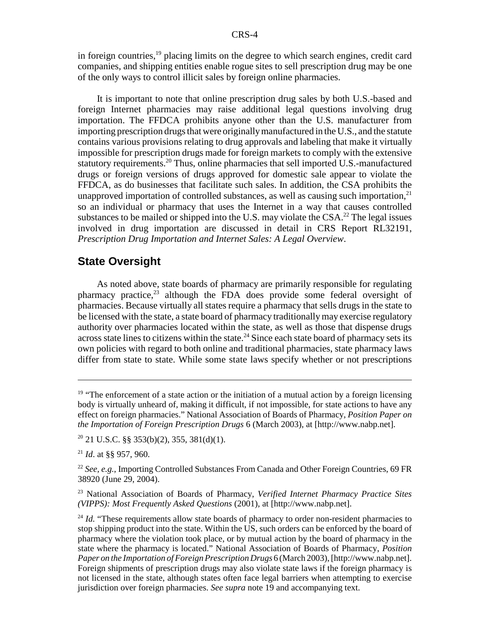in foreign countries,<sup>19</sup> placing limits on the degree to which search engines, credit card companies, and shipping entities enable rogue sites to sell prescription drug may be one of the only ways to control illicit sales by foreign online pharmacies.

It is important to note that online prescription drug sales by both U.S.-based and foreign Internet pharmacies may raise additional legal questions involving drug importation. The FFDCA prohibits anyone other than the U.S. manufacturer from importing prescription drugs that were originally manufactured in the U.S., and the statute contains various provisions relating to drug approvals and labeling that make it virtually impossible for prescription drugs made for foreign markets to comply with the extensive statutory requirements.20 Thus, online pharmacies that sell imported U.S.-manufactured drugs or foreign versions of drugs approved for domestic sale appear to violate the FFDCA, as do businesses that facilitate such sales. In addition, the CSA prohibits the unapproved importation of controlled substances, as well as causing such importation, $2<sup>1</sup>$ so an individual or pharmacy that uses the Internet in a way that causes controlled substances to be mailed or shipped into the U.S. may violate the CSA.<sup>22</sup> The legal issues involved in drug importation are discussed in detail in CRS Report RL32191, *Prescription Drug Importation and Internet Sales: A Legal Overview*.

#### **State Oversight**

As noted above, state boards of pharmacy are primarily responsible for regulating pharmacy practice, $^{23}$  although the FDA does provide some federal oversight of pharmacies. Because virtually all states require a pharmacy that sells drugs in the state to be licensed with the state, a state board of pharmacy traditionally may exercise regulatory authority over pharmacies located within the state, as well as those that dispense drugs across state lines to citizens within the state.<sup>24</sup> Since each state board of pharmacy sets its own policies with regard to both online and traditional pharmacies, state pharmacy laws differ from state to state. While some state laws specify whether or not prescriptions

<sup>&</sup>lt;sup>19</sup> "The enforcement of a state action or the initiation of a mutual action by a foreign licensing body is virtually unheard of, making it difficult, if not impossible, for state actions to have any effect on foreign pharmacies." National Association of Boards of Pharmacy, *Position Paper on the Importation of Foreign Prescription Drugs* 6 (March 2003), at [http://www.nabp.net].

 $20$  21 U.S.C. §§ 353(b)(2), 355, 381(d)(1).

<sup>21</sup> *Id*. at §§ 957, 960.

<sup>22</sup> *See, e.g.*, Importing Controlled Substances From Canada and Other Foreign Countries, 69 FR 38920 (June 29, 2004).

<sup>23</sup> National Association of Boards of Pharmacy, *Verified Internet Pharmacy Practice Sites (VIPPS): Most Frequently Asked Questions* (2001), at [http://www.nabp.net].

<sup>&</sup>lt;sup>24</sup> *Id.* "These requirements allow state boards of pharmacy to order non-resident pharmacies to stop shipping product into the state. Within the US, such orders can be enforced by the board of pharmacy where the violation took place, or by mutual action by the board of pharmacy in the state where the pharmacy is located." National Association of Boards of Pharmacy, *Position Paper on the Importation of Foreign Prescription Drugs* 6 (March 2003), [http://www.nabp.net]. Foreign shipments of prescription drugs may also violate state laws if the foreign pharmacy is not licensed in the state, although states often face legal barriers when attempting to exercise jurisdiction over foreign pharmacies. *See supra* note 19 and accompanying text.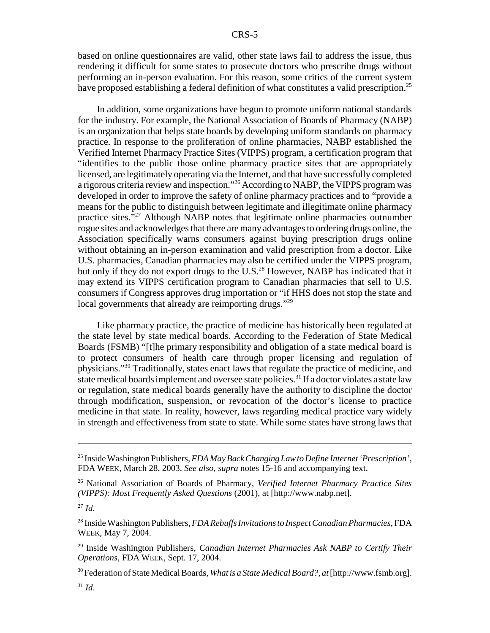based on online questionnaires are valid, other state laws fail to address the issue, thus rendering it difficult for some states to prosecute doctors who prescribe drugs without performing an in-person evaluation. For this reason, some critics of the current system have proposed establishing a federal definition of what constitutes a valid prescription.<sup>25</sup>

In addition, some organizations have begun to promote uniform national standards for the industry. For example, the National Association of Boards of Pharmacy (NABP) is an organization that helps state boards by developing uniform standards on pharmacy practice. In response to the proliferation of online pharmacies, NABP established the Verified Internet Pharmacy Practice Sites (VIPPS) program, a certification program that "identifies to the public those online pharmacy practice sites that are appropriately licensed, are legitimately operating via the Internet, and that have successfully completed a rigorous criteria review and inspection."26 According to NABP, the VIPPS program was developed in order to improve the safety of online pharmacy practices and to "provide a means for the public to distinguish between legitimate and illegitimate online pharmacy practice sites."27 Although NABP notes that legitimate online pharmacies outnumber rogue sites and acknowledges that there are many advantages to ordering drugs online, the Association specifically warns consumers against buying prescription drugs online without obtaining an in-person examination and valid prescription from a doctor. Like U.S. pharmacies, Canadian pharmacies may also be certified under the VIPPS program, but only if they do not export drugs to the U.S.<sup>28</sup> However, NABP has indicated that it may extend its VIPPS certification program to Canadian pharmacies that sell to U.S. consumers if Congress approves drug importation or "if HHS does not stop the state and local governments that already are reimporting drugs."<sup>29</sup>

Like pharmacy practice, the practice of medicine has historically been regulated at the state level by state medical boards. According to the Federation of State Medical Boards (FSMB) "[t]he primary responsibility and obligation of a state medical board is to protect consumers of health care through proper licensing and regulation of physicians."30 Traditionally, states enact laws that regulate the practice of medicine, and state medical boards implement and oversee state policies.<sup>31</sup> If a doctor violates a state law or regulation, state medical boards generally have the authority to discipline the doctor through modification, suspension, or revocation of the doctor's license to practice medicine in that state. In reality, however, laws regarding medical practice vary widely in strength and effectiveness from state to state. While some states have strong laws that

<sup>27</sup> *Id*.

29 Inside Washington Publishers, *Canadian Internet Pharmacies Ask NABP to Certify Their Operations*, FDA WEEK, Sept. 17, 2004.

30 Federation of State Medical Boards, *What is a State Medical Board?*, *at* [http://www.fsmb.org].

<sup>25</sup> Inside Washington Publishers, *FDA May Back Changing Law to Define Internet 'Prescription'*, FDA WEEK, March 28, 2003. *See also*, *supra* notes 15-16 and accompanying text.

<sup>26</sup> National Association of Boards of Pharmacy, *Verified Internet Pharmacy Practice Sites (VIPPS): Most Frequently Asked Questions* (2001), at [http://www.nabp.net].

<sup>28</sup> Inside Washington Publishers, *FDA Rebuffs Invitations to Inspect Canadian Pharmacies*, FDA WEEK, May 7, 2004.